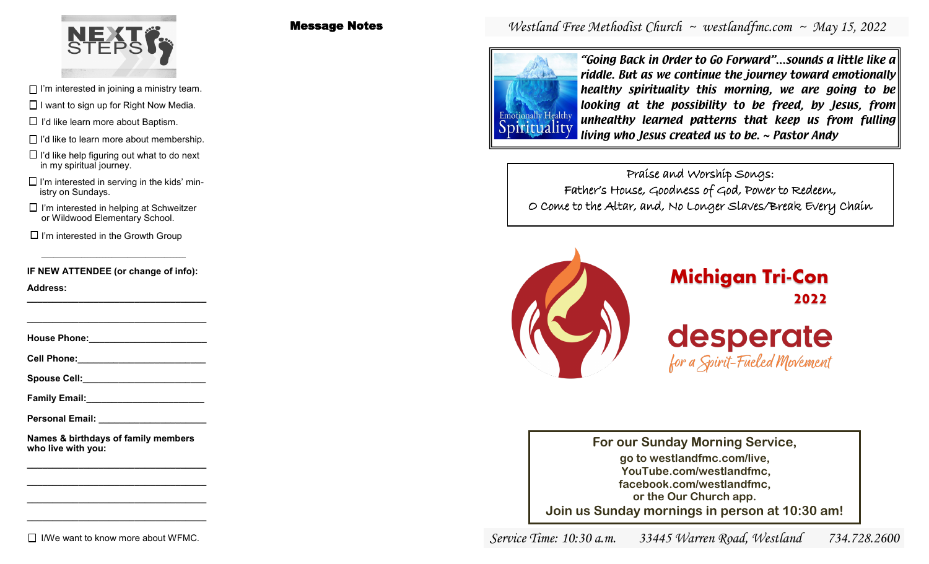

- $\Box$  I'm interested in joining a ministry team.
- $\Box$  I want to sign up for Right Now Media.
- $\Box$  I'd like learn more about Baptism.
- 
- $\Box$  I'd like help figuring out what to do next in my spiritual journey.
- $\Box$  I'm interested in serving in the kids' ministry on Sundays.
- or Wildwood Elementary School.
- $\Box$  I'm interested in the Growth Group

**IF NEW ATTENDEE (or change of info):**

**Address: \_\_\_\_\_\_\_\_\_\_\_\_\_\_\_\_\_\_\_\_\_\_\_\_\_\_\_\_\_\_\_\_\_\_\_**

**House Phone:** 

**\_\_\_\_\_\_\_\_\_\_\_\_\_\_\_\_\_\_\_\_\_\_\_\_\_\_\_\_\_\_\_\_\_\_\_**

**Cell Phone:** 

Spouse Cell:

**Family Email:\_\_\_\_\_\_\_\_\_\_\_\_\_\_\_\_\_\_\_\_\_\_\_**

**Personal Email: \_\_\_\_\_\_\_\_\_\_\_\_\_\_\_\_\_\_\_\_\_**

**Names & birthdays of family members who live with you:**

**\_\_\_\_\_\_\_\_\_\_\_\_\_\_\_\_\_\_\_\_\_\_\_\_\_\_\_\_\_\_\_\_\_\_\_ \_\_\_\_\_\_\_\_\_\_\_\_\_\_\_\_\_\_\_\_\_\_\_\_\_\_\_\_\_\_\_\_\_\_\_ \_\_\_\_\_\_\_\_\_\_\_\_\_\_\_\_\_\_\_\_\_\_\_\_\_\_\_\_\_\_\_\_\_\_\_ \_\_\_\_\_\_\_\_\_\_\_\_\_\_\_\_\_\_\_\_\_\_\_\_\_\_\_\_\_\_\_\_\_\_\_**

#### $\Box$  I/We want to know more about WFMC.

Message Notes

# *Westland Free Methodist Church ~ westlandfmc.com ~ May 15, 2022*



"Going Back in Order to Go Forward"…sounds a little like a riddle. But as we continue the journey toward emotionally healthy spirituality this morning, we are going to be looking at the possibility to be freed, by Jesus, from unhealthy learned patterns that keep us from fulling  $\Box$  I'd like learn more about Baptism.<br>
I i'd like to learn more about membership.<br>
I'd like to learn more about membership.

Praise and Worship Songs: Father's House, Goodness of God, Power to Redeem, O Come to the Altar, and, No Longer Slaves/Break Every Chain I'm interested in helping at Schweitzer



**For our Sunday Morning Service, go to westlandfmc.com/live, YouTube.com/westlandfmc, facebook.com/westlandfmc, or the Our Church app. Join us Sunday mornings in person at 10:30 am!**